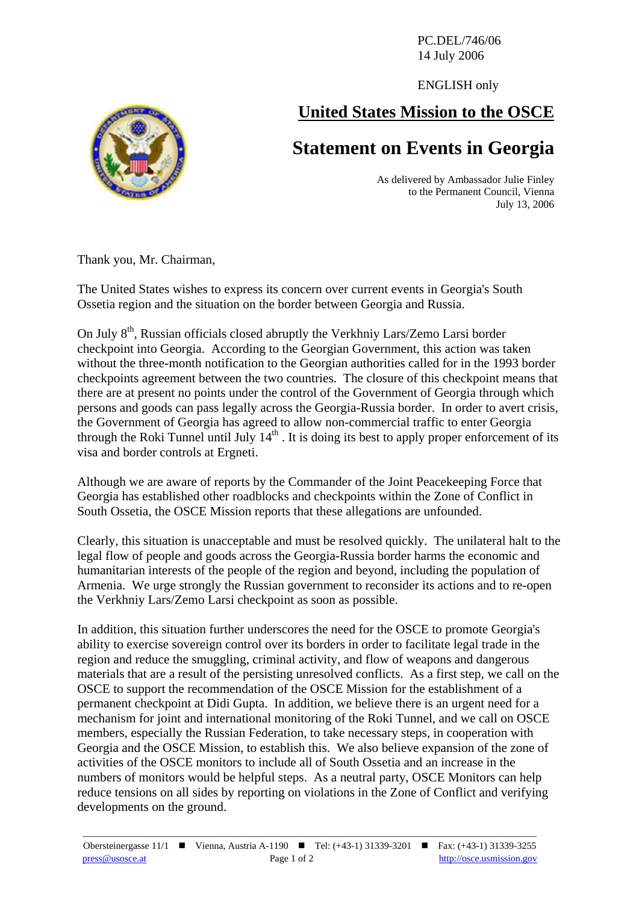PC.DEL/746/06 14 July 2006

ENGLISH only

## **United States Mission to the OSCE**

## **Statement on Events in Georgia**

As delivered by Ambassador Julie Finley to the Permanent Council, Vienna July 13, 2006

Thank you, Mr. Chairman,

The United States wishes to express its concern over current events in Georgia's South Ossetia region and the situation on the border between Georgia and Russia.

On July  $8<sup>th</sup>$ , Russian officials closed abruptly the Verkhniy Lars/Zemo Larsi border checkpoint into Georgia. According to the Georgian Government, this action was taken without the three-month notification to the Georgian authorities called for in the 1993 border checkpoints agreement between the two countries. The closure of this checkpoint means that there are at present no points under the control of the Government of Georgia through which persons and goods can pass legally across the Georgia-Russia border. In order to avert crisis, the Government of Georgia has agreed to allow non-commercial traffic to enter Georgia through the Roki Tunnel until July  $14<sup>th</sup>$ . It is doing its best to apply proper enforcement of its visa and border controls at Ergneti.

Although we are aware of reports by the Commander of the Joint Peacekeeping Force that Georgia has established other roadblocks and checkpoints within the Zone of Conflict in South Ossetia, the OSCE Mission reports that these allegations are unfounded.

Clearly, this situation is unacceptable and must be resolved quickly. The unilateral halt to the legal flow of people and goods across the Georgia-Russia border harms the economic and humanitarian interests of the people of the region and beyond, including the population of Armenia. We urge strongly the Russian government to reconsider its actions and to re-open the Verkhniy Lars/Zemo Larsi checkpoint as soon as possible.

In addition, this situation further underscores the need for the OSCE to promote Georgia's ability to exercise sovereign control over its borders in order to facilitate legal trade in the region and reduce the smuggling, criminal activity, and flow of weapons and dangerous materials that are a result of the persisting unresolved conflicts. As a first step, we call on the OSCE to support the recommendation of the OSCE Mission for the establishment of a permanent checkpoint at Didi Gupta. In addition, we believe there is an urgent need for a mechanism for joint and international monitoring of the Roki Tunnel, and we call on OSCE members, especially the Russian Federation, to take necessary steps, in cooperation with Georgia and the OSCE Mission, to establish this. We also believe expansion of the zone of activities of the OSCE monitors to include all of South Ossetia and an increase in the numbers of monitors would be helpful steps. As a neutral party, OSCE Monitors can help reduce tensions on all sides by reporting on violations in the Zone of Conflict and verifying developments on the ground.